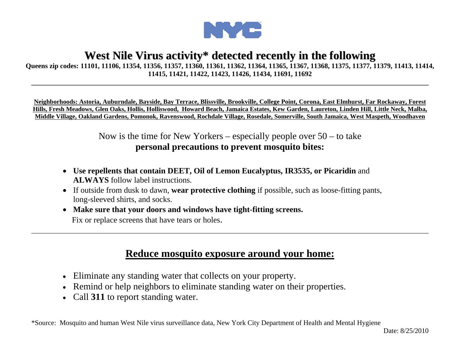

## **West Nile Virus activity\* detected recently in the following**

## **Queens zip codes: 11101, 11106, 11354, 11356, 11357, 11360, 11361, 11362, 11364, 11365, 11367, 11368, 11375, 11377, 11379, 11413, 11414, 11415, 11421, 11422, 11423, 11426, 11434, 11691, 11692**

**Neighborhoods: Astoria, Auburndale, Bayside, Bay Terrace, Blissville, Brookville, College Point, Corona, East Elmhurst, Far Rockaway, Forest Hills, Fresh Meadows, Glen Oaks, Hollis, Holliswood, Howard Beach, Jamaica Estates, Kew Garden, Laureton, Linden Hill, Little Neck, Malba, Middle Village, Oakland Gardens, Pomonok, Ravenswood, Rochdale Village, Rosedale, Somerville, South Jamaica, West Maspeth, Woodhaven**

> Now is the time for New Yorkers – especially people over  $50 -$  to take **personal precautions to prevent mosquito bites:**

- **Use repellents that contain DEET, Oil of Lemon Eucalyptus, IR3535, or Picaridin** and **ALWAYS** follow label instructions.
- If outside from dusk to dawn, **wear protective clothing** if possible, such as loose-fitting pants, long-sleeved shirts, and socks.
- **Make sure that your doors and windows have tight-fitting screens.** Fix or replace screens that have tears or holes.

## **Reduce mosquito exposure around your home:**

- Eliminate any standing water that collects on your property.
- Remind or help neighbors to eliminate standing water on their properties.
- Call **311** to report standing water.